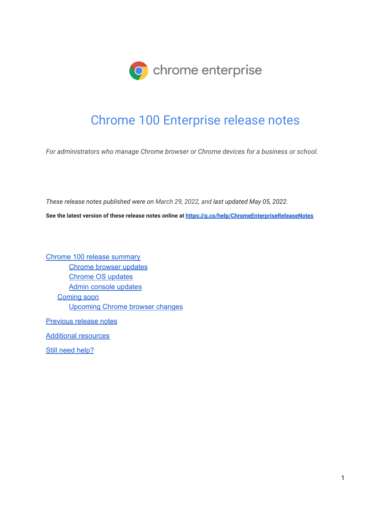

# Chrome 100 Enterprise release notes

*For administrators who manage Chrome browser or Chrome devices for a business or school.*

*These release notes published were on March 29, 2022, and last updated May 05, 2022.*

**See the latest version of these release notes online at <https://g.co/help/ChromeEnterpriseReleaseNotes>**

Chrome 100 release [summary](#page-1-0) [Chrome](#page-4-0) browser updates [Chrome](#page-11-0) OS updates Admin console [updates](#page-12-0) [Coming](#page-14-0) soon [Upcoming](#page-14-1) Chrome browser changes

[Previous](#page-21-0) release notes

[Additional](#page-22-0) resources

Still need [help?](#page-22-1)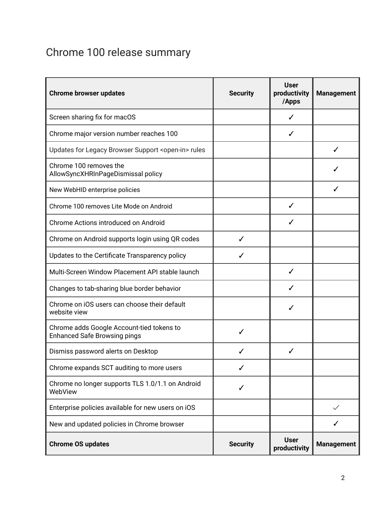# <span id="page-1-0"></span>Chrome 100 release summary

| <b>Chrome browser updates</b>                                                    | <b>Security</b> | <b>User</b><br>productivity<br>/Apps | <b>Management</b> |
|----------------------------------------------------------------------------------|-----------------|--------------------------------------|-------------------|
| Screen sharing fix for macOS                                                     |                 | ✓                                    |                   |
| Chrome major version number reaches 100                                          |                 | ✓                                    |                   |
| Updates for Legacy Browser Support <open-in> rules</open-in>                     |                 |                                      |                   |
| Chrome 100 removes the<br>AllowSyncXHRInPageDismissal policy                     |                 |                                      |                   |
| New WebHID enterprise policies                                                   |                 |                                      |                   |
| Chrome 100 removes Lite Mode on Android                                          |                 | ✓                                    |                   |
| Chrome Actions introduced on Android                                             |                 | ✓                                    |                   |
| Chrome on Android supports login using QR codes                                  | ✓               |                                      |                   |
| Updates to the Certificate Transparency policy                                   | ✓               |                                      |                   |
| Multi-Screen Window Placement API stable launch                                  |                 | ✓                                    |                   |
| Changes to tab-sharing blue border behavior                                      |                 |                                      |                   |
| Chrome on iOS users can choose their default<br>website view                     |                 | ✓                                    |                   |
| Chrome adds Google Account-tied tokens to<br><b>Enhanced Safe Browsing pings</b> | ✓               |                                      |                   |
| Dismiss password alerts on Desktop                                               |                 | ✓                                    |                   |
| Chrome expands SCT auditing to more users                                        | ✓               |                                      |                   |
| Chrome no longer supports TLS 1.0/1.1 on Android<br>WebView                      | ✓               |                                      |                   |
| Enterprise policies available for new users on iOS                               |                 |                                      | $\checkmark$      |
| New and updated policies in Chrome browser                                       |                 |                                      |                   |
| <b>Chrome OS updates</b>                                                         | <b>Security</b> | <b>User</b><br>productivity          | <b>Management</b> |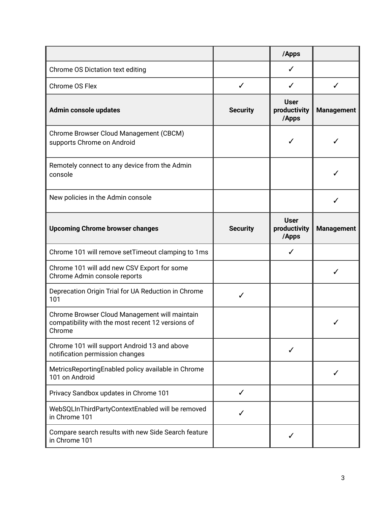|                                                                                                              |                 | /Apps                                |                   |
|--------------------------------------------------------------------------------------------------------------|-----------------|--------------------------------------|-------------------|
| Chrome OS Dictation text editing                                                                             |                 | ✓                                    |                   |
| Chrome OS Flex                                                                                               | $\checkmark$    | ✓                                    | ✓                 |
| Admin console updates                                                                                        | <b>Security</b> | <b>User</b><br>productivity<br>/Apps | <b>Management</b> |
| Chrome Browser Cloud Management (CBCM)<br>supports Chrome on Android                                         |                 | ✓                                    | ✓                 |
| Remotely connect to any device from the Admin<br>console                                                     |                 |                                      |                   |
| New policies in the Admin console                                                                            |                 |                                      |                   |
| <b>Upcoming Chrome browser changes</b>                                                                       | <b>Security</b> | <b>User</b><br>productivity<br>/Apps | <b>Management</b> |
| Chrome 101 will remove setTimeout clamping to 1ms                                                            |                 | $\checkmark$                         |                   |
| Chrome 101 will add new CSV Export for some<br>Chrome Admin console reports                                  |                 |                                      |                   |
| Deprecation Origin Trial for UA Reduction in Chrome<br>101                                                   | ✓               |                                      |                   |
| Chrome Browser Cloud Management will maintain<br>compatibility with the most recent 12 versions of<br>Chrome |                 |                                      |                   |
| Chrome 101 will support Android 13 and above<br>notification permission changes                              |                 | ✓                                    |                   |
| MetricsReportingEnabled policy available in Chrome<br>101 on Android                                         |                 |                                      |                   |
| Privacy Sandbox updates in Chrome 101                                                                        | ✓               |                                      |                   |
| WebSQLInThirdPartyContextEnabled will be removed<br>in Chrome 101                                            | ✓               |                                      |                   |
| Compare search results with new Side Search feature<br>in Chrome 101                                         |                 |                                      |                   |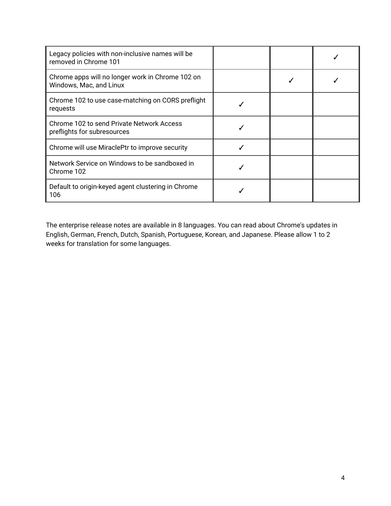| Legacy policies with non-inclusive names will be<br>removed in Chrome 101   |  |  |
|-----------------------------------------------------------------------------|--|--|
| Chrome apps will no longer work in Chrome 102 on<br>Windows, Mac, and Linux |  |  |
| Chrome 102 to use case-matching on CORS preflight<br>requests               |  |  |
| Chrome 102 to send Private Network Access<br>preflights for subresources    |  |  |
| Chrome will use MiraclePtr to improve security                              |  |  |
| Network Service on Windows to be sandboxed in<br>Chrome 102                 |  |  |
| Default to origin-keyed agent clustering in Chrome<br>106                   |  |  |

The enterprise release notes are available in 8 languages. You can read about Chrome's updates in English, German, French, Dutch, Spanish, Portuguese, Korean, and Japanese. Please allow 1 to 2 weeks for translation for some languages.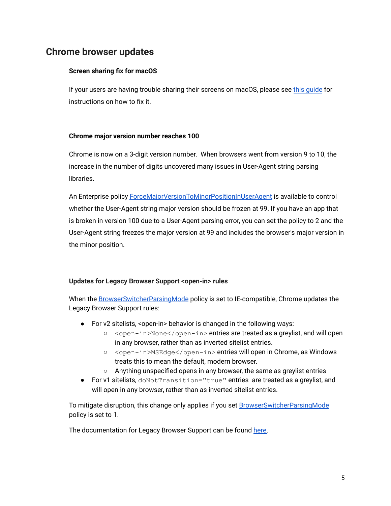# <span id="page-4-0"></span>**Chrome browser updates**

# **Screen sharing fix for macOS**

If your users are having trouble sharing their screens on macOS, please see [this guide](https://docs.google.com/document/d/e/2PACX-1vQwoDnfiBH_Z30MLP6U_m_68a3DLHwRBzNzTxto19u0FSfgncV8mjHy9W1YpT02WzhiBBodA8BTnqHG/pub?dods&urp=gmail_link) for instructions on how to fix it.

# **Chrome major version number reaches 100**

Chrome is now on a 3-digit version number. When browsers went from version 9 to 10, the increase in the number of digits uncovered many issues in User-Agent string parsing libraries.

An Enterprise policy **[ForceMajorVersionToMinorPositionInUserAgent](https://chromeenterprise.google/policies/#ForceMajorVersionToMinorPositionInUserAgent)** is available to control whether the User-Agent string major version should be frozen at 99. If you have an app that is broken in version 100 due to a User-Agent parsing error, you can set the policy to 2 and the User-Agent string freezes the major version at 99 and includes the browser's major version in the minor position.

# **Updates for Legacy Browser Support <open-in> rules**

When the [BrowserSwitcherParsingMode](https://chromeenterprise.google/policies/#BrowserSwitcherParsingMode) policy is set to IE-compatible, Chrome updates the Legacy Browser Support rules:

- For v2 sitelists, <open-in> behavior is changed in the following ways:
	- <open-in>None</open-in> entries are treated as a greylist, and will open in any browser, rather than as inverted sitelist entries.
	- <open-in>MSEdge</open-in> entries will open in Chrome, as Windows treats this to mean the default, modern browser.
	- Anything unspecified opens in any browser, the same as greylist entries
- For v1 sitelists, doNotTransition="true" entries are treated as a greylist, and will open in any browser, rather than as inverted sitelist entries.

To mitigate disruption, this change only applies if you set [BrowserSwitcherParsingMode](https://chromeenterprise.google/policies/#BrowserSwitcherParsingMode) policy is set to 1.

The documentation for Legacy Browser Support can be found [here.](https://support.google.com/chrome/a/answer/9269998)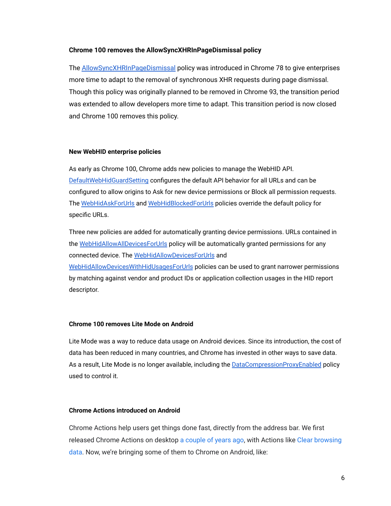#### **Chrome 100 removes the AllowSyncXHRInPageDismissal policy**

The [AllowSyncXHRInPageDismissal](https://chromeenterprise.google/policies/#AllowSyncXHRInPageDismissal) policy was introduced in Chrome 78 to give enterprises more time to adapt to the removal of synchronous XHR requests during page dismissal. Though this policy was originally planned to be removed in Chrome 93, the transition period was extended to allow developers more time to adapt. This transition period is now closed and Chrome 100 removes this policy.

#### **New WebHID enterprise policies**

As early as Chrome 100, Chrome adds new policies to manage the WebHID API. [DefaultWebHidGuardSetting](https://chromeenterprise.google/policies/#DefaultWebHidGuardSetting) configures the default API behavior for all URLs and can be configured to allow origins to Ask for new device permissions or Block all permission requests. The [WebHidAskForUrls](https://chromeenterprise.google/policies/#WebHidAskForUrls) and [WebHidBlockedForUrls](https://chromeenterprise.google/policies/#WebHidBlockedForUrls) policies override the default policy for specific URLs.

Three new policies are added for automatically granting device permissions. URLs contained in the [WebHidAllowAllDevicesForUrls](https://chromeenterprise.google/policies/#WebHidAllowAllDevicesForUrls) policy will be automatically granted permissions for any connected device. The [WebHidAllowDevicesForUrls](https://chromeenterprise.google/policies/#WebHidAllowDevicesForUrls) and [WebHidAllowDevicesWithHidUsagesForUrls](https://chromeenterprise.google/policies/#WebHidAllowDevicesWithHidUsagesForUrls) policies can be used to grant narrower permissions by matching against vendor and product IDs or application collection usages in the HID report descriptor.

#### **Chrome 100 removes Lite Mode on Android**

Lite Mode was a way to reduce data usage on Android devices. Since its introduction, the cost of data has been reduced in many countries, and Chrome has invested in other ways to save data. As a result, Lite Mode is no longer available, including the [DataCompressionProxyEnabled](https://chromeenterprise.google/policies/#DataCompressionProxyEnabled) policy used to control it.

#### **Chrome Actions introduced on Android**

Chrome Actions help users get things done fast, directly from the address bar. We first released Chrome Actions on desktop [a couple of years](https://blog.google/products/chrome/faster-chrome/) ago, with Actions like [Clear browsing](https://www.youtube.com/watch?v=P8QVHCt2gXU&list=PL5aqr5w5fRe4_RvEnss5dCcAUBLyMoTVm&index=18) [data.](https://www.youtube.com/watch?v=P8QVHCt2gXU&list=PL5aqr5w5fRe4_RvEnss5dCcAUBLyMoTVm&index=18) Now, we're bringing some of them to Chrome on Android, like: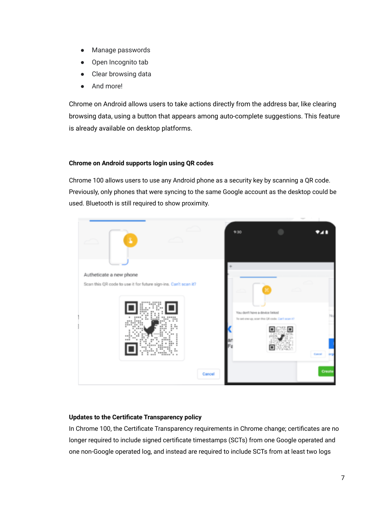- Manage passwords
- Open Incognito tab
- Clear browsing data
- And more!

Chrome on Android allows users to take actions directly from the address bar, like clearing browsing data, using a button that appears among auto-complete suggestions. This feature is already available on desktop platforms.

# **Chrome on Android supports login using QR codes**

Chrome 100 allows users to use any Android phone as a security key by scanning a QR code. Previously, only phones that were syncing to the same Google account as the desktop could be used. Bluetooth is still required to show proximity.



# **Updates to the Certificate Transparency policy**

In Chrome 100, the Certificate Transparency requirements in Chrome change; certificates are no longer required to include signed certificate timestamps (SCTs) from one Google operated and one non-Google operated log, and instead are required to include SCTs from at least two logs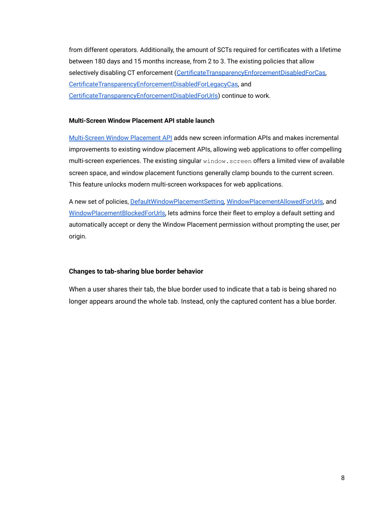from different operators. Additionally, the amount of SCTs required for certificates with a lifetime between 180 days and 15 months increase, from 2 to 3. The existing policies that allow selectively disabling CT enforcement ([CertificateTransparencyEnforcementDisabledForCas,](https://chromeenterprise.google/policies/#CertificateTransparencyEnforcementDisabledForCas) [CertificateTransparencyEnforcementDisabledForLegacyCas,](https://chromeenterprise.google/policies/#CertificateTransparencyEnforcementDisabledForLegacyCas) and [CertificateTransparencyEnforcementDisabledForUrls](https://chromeenterprise.google/policies/#CertificateTransparencyEnforcementDisabledForUrls)) continue to work.

# **Multi-Screen Window Placement API stable launch**

[Multi-Screen](https://web.dev/multi-screen-window-placement/) Window Placement API adds new screen information APIs and makes incremental improvements to existing window placement APIs, allowing web applications to offer compelling multi-screen experiences. The existing singular window.screen offers a limited view of available screen space, and window placement functions generally clamp bounds to the current screen. This feature unlocks modern multi-screen workspaces for web applications.

A new set of policies, [DefaultWindowPlacementSetting,](https://chromeenterprise.google/policies/#DefaultWindowPlacementSetting) [WindowPlacementAllowedForUrls,](https://chromeenterprise.google/policies/#WindowPlacementAllowedForUrls) and [WindowPlacementBlockedForUrls,](https://chromeenterprise.google/policies/#WindowPlacementBlockedForUrls) lets admins force their fleet to employ a default setting and automatically accept or deny the Window Placement permission without prompting the user, per origin.

# **Changes to tab-sharing blue border behavior**

When a user shares their tab, the blue border used to indicate that a tab is being shared no longer appears around the whole tab. Instead, only the captured content has a blue border.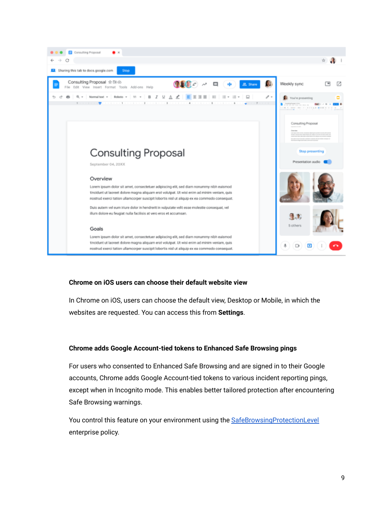

# **Chrome on iOS users can choose their default website view**

In Chrome on iOS, users can choose the default view, Desktop or Mobile, in which the websites are requested. You can access this from **Settings**.

# **Chrome adds Google Account-tied tokens to Enhanced Safe Browsing pings**

For users who consented to Enhanced Safe Browsing and are signed in to their Google accounts, Chrome adds Google Account-tied tokens to various incident reporting pings, except when in Incognito mode. This enables better tailored protection after encountering Safe Browsing warnings.

You control this feature on your environment using the [SafeBrowsingProtectionLevel](https://chromeenterprise.google/policies/#SafeBrowsingProtectionLevel) enterprise policy.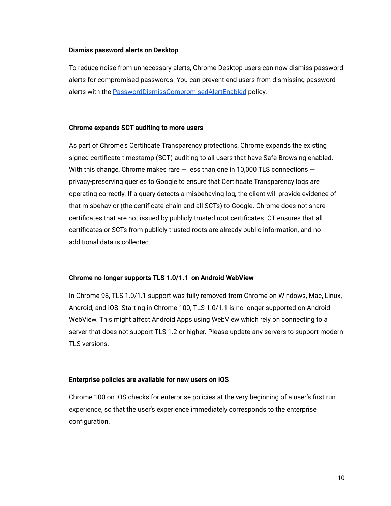#### **Dismiss password alerts on Desktop**

To reduce noise from unnecessary alerts, Chrome Desktop users can now dismiss password alerts for compromised passwords. You can prevent end users from dismissing password alerts with the **[PasswordDismissCompromisedAlertEnabled](https://chromeenterprise.google/policies/#PasswordDismissCompromisedAlertEnabled)** policy.

#### **Chrome expands SCT auditing to more users**

As part of Chrome's Certificate Transparency protections, Chrome expands the existing signed certificate timestamp (SCT) auditing to all users that have Safe Browsing enabled. With this change, Chrome makes rare  $-$  less than one in 10,000 TLS connections  $$ privacy-preserving queries to Google to ensure that Certificate Transparency logs are operating correctly. If a query detects a misbehaving log, the client will provide evidence of that misbehavior (the certificate chain and all SCTs) to Google. Chrome does not share certificates that are not issued by publicly trusted root certificates. CT ensures that all certificates or SCTs from publicly trusted roots are already public information, and no additional data is collected.

# **Chrome no longer supports TLS 1.0/1.1 on Android WebView**

In Chrome 98, TLS 1.0/1.1 support was fully removed from Chrome on Windows, Mac, Linux, Android, and iOS. Starting in Chrome 100, TLS 1.0/1.1 is no longer supported on Android WebView. This might affect Android Apps using WebView which rely on connecting to a server that does not support TLS 1.2 or higher. Please update any servers to support modern TLS versions.

# **Enterprise policies are available for new users on iOS**

Chrome 100 on iOS checks for enterprise policies at the very beginning of a user's first run experience, so that the user's experience immediately corresponds to the enterprise configuration.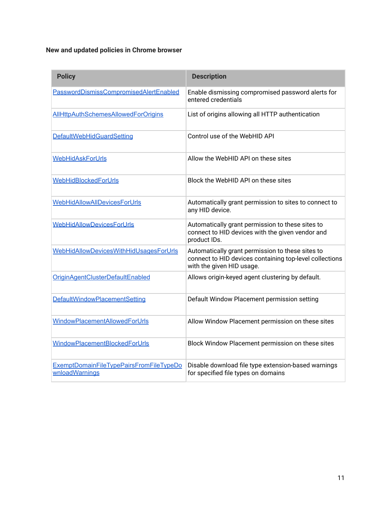# **New and updated policies in Chrome browser**

| <b>Policy</b>                                             | <b>Description</b>                                                                                                                       |
|-----------------------------------------------------------|------------------------------------------------------------------------------------------------------------------------------------------|
| PasswordDismissCompromisedAlertEnabled                    | Enable dismissing compromised password alerts for<br>entered credentials                                                                 |
| <b>AllHttpAuthSchemesAllowedForOrigins</b>                | List of origins allowing all HTTP authentication                                                                                         |
| <b>DefaultWebHidGuardSetting</b>                          | Control use of the WebHID API                                                                                                            |
| <b>WebHidAskForUrls</b>                                   | Allow the WebHID API on these sites                                                                                                      |
| WebHidBlockedForUrls                                      | Block the WebHID API on these sites                                                                                                      |
| WebHidAllowAllDevicesForUrls                              | Automatically grant permission to sites to connect to<br>any HID device.                                                                 |
| <b>WebHidAllowDevicesForUrls</b>                          | Automatically grant permission to these sites to<br>connect to HID devices with the given vendor and<br>product IDs.                     |
| WebHidAllowDevicesWithHidUsagesForUrls                    | Automatically grant permission to these sites to<br>connect to HID devices containing top-level collections<br>with the given HID usage. |
| OriginAgentClusterDefaultEnabled                          | Allows origin-keyed agent clustering by default.                                                                                         |
| DefaultWindowPlacementSetting                             | Default Window Placement permission setting                                                                                              |
| WindowPlacementAllowedForUrls                             | Allow Window Placement permission on these sites                                                                                         |
| WindowPlacementBlockedForUrls                             | Block Window Placement permission on these sites                                                                                         |
| ExemptDomainFileTypePairsFromFileTypeDo<br>wnloadWarnings | Disable download file type extension-based warnings<br>for specified file types on domains                                               |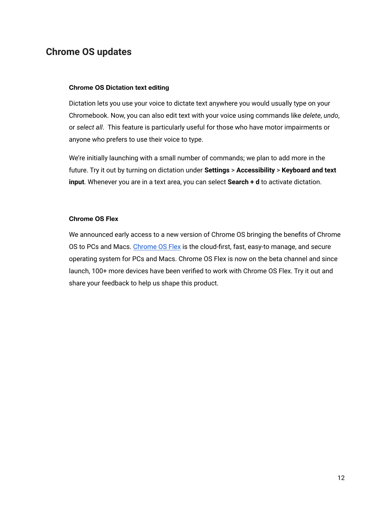# <span id="page-11-0"></span>**Chrome OS updates**

# **Chrome OS Dictation text editing**

Dictation lets you use your voice to dictate text anywhere you would usually type on your Chromebook. Now, you can also edit text with your voice using commands like *delete*, *undo*, or *select all*. This feature is particularly useful for those who have motor impairments or anyone who prefers to use their voice to type.

We're initially launching with a small number of commands; we plan to add more in the future. Try it out by turning on dictation under **Settings** > **Accessibility** > **Keyboard and text input**. Whenever you are in a text area, you can select **Search + d** to activate dictation.

# **Chrome OS Flex**

We announced early access to a new version of Chrome OS bringing the benefits of Chrome OS to PCs and Macs. [Chrome OS Flex](https://chromeenterprise.google/os/chromeosflex/) is the cloud-first, fast, easy-to manage, and secure operating system for PCs and Macs. Chrome OS Flex is now on the beta channel and since launch, 100+ more devices have been verified to work with Chrome OS Flex. Try it out and share your feedback to help us shape this product.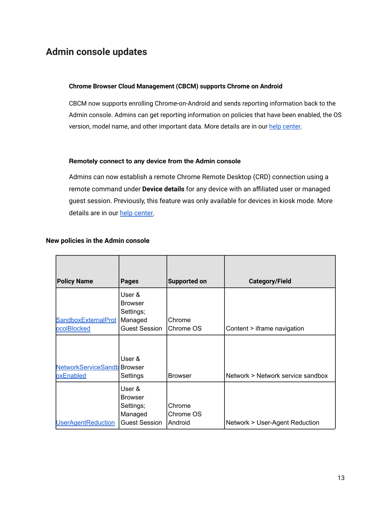# <span id="page-12-0"></span>**Admin console updates**

# **Chrome Browser Cloud Management (CBCM) supports Chrome on Android**

CBCM now supports enrolling Chrome-on-Android and sends reporting information back to the Admin console. Admins can get reporting information on policies that have been enabled, the OS version, model name, and other important data. More details are in our help [center.](https://support.google.com/chrome/a/answer/11480811)

#### **Remotely connect to any device from the Admin console**

Admins can now establish a remote Chrome Remote Desktop (CRD) connection using a remote command under **Device details** for any device with an affiliated user or managed guest session. Previously, this feature was only available for devices in kiosk mode. More details are in our [help center.](https://support.google.com/chrome/a/answer/9547497)

#### **New policies in the Admin console**

| <b>Policy Name</b>                              | <b>Pages</b>                                                             | <b>Supported on</b>            | <b>Category/Field</b>             |
|-------------------------------------------------|--------------------------------------------------------------------------|--------------------------------|-----------------------------------|
| SandboxExternalProt<br>ocolBlocked              | User &<br><b>Browser</b><br>Settings;<br>Managed<br><b>Guest Session</b> | Chrome<br>Chrome OS            | Content > iframe navigation       |
| <b>NetworkServiceSandb</b> Browser<br>oxEnabled | User &<br>Settings                                                       | <b>Browser</b>                 | Network > Network service sandbox |
| <b>UserAgentReduction</b>                       | User &<br><b>Browser</b><br>Settings;<br>Managed<br>Guest Session        | Chrome<br>Chrome OS<br>Android | Network > User-Agent Reduction    |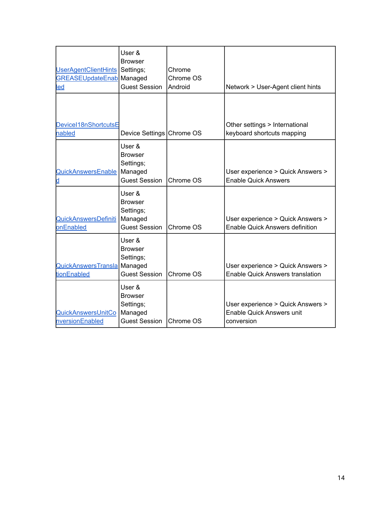| UserAgentClientHints<br><b>GREASEUpdateEnab Managed</b><br><u>led</u> | User &<br><b>Browser</b><br>Settings;<br><b>Guest Session</b>            | Chrome<br>Chrome OS<br>Android | Network > User-Agent client hints                                                   |
|-----------------------------------------------------------------------|--------------------------------------------------------------------------|--------------------------------|-------------------------------------------------------------------------------------|
| DeviceI18nShortcutsE<br>nabled                                        | Device Settings Chrome OS                                                |                                | Other settings > International<br>keyboard shortcuts mapping                        |
| QuickAnswersEnable                                                    | User &<br>Browser<br>Settings;<br>Managed<br><b>Guest Session</b>        | Chrome OS                      | User experience > Quick Answers ><br><b>Enable Quick Answers</b>                    |
| QuickAnswersDefiniti<br>onEnabled                                     | User &<br><b>Browser</b><br>Settings;<br>Managed<br><b>Guest Session</b> | Chrome OS                      | User experience > Quick Answers ><br><b>Enable Quick Answers definition</b>         |
| QuickAnswersTransla Managed<br>tionEnabled                            | User &<br><b>Browser</b><br>Settings;<br><b>Guest Session</b>            | Chrome OS                      | User experience > Quick Answers ><br><b>Enable Quick Answers translation</b>        |
| QuickAnswersUnitCo<br>nversionEnabled                                 | User &<br><b>Browser</b><br>Settings;<br>Managed<br><b>Guest Session</b> | Chrome OS                      | User experience > Quick Answers ><br><b>Enable Quick Answers unit</b><br>conversion |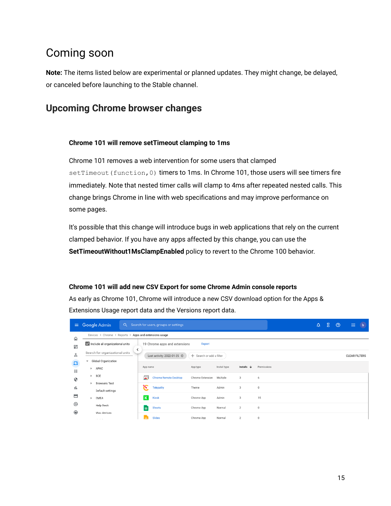# <span id="page-14-0"></span>Coming soon

**Note:** The items listed below are experimental or planned updates. They might change, be delayed, or canceled before launching to the Stable channel.

# <span id="page-14-1"></span>**Upcoming Chrome browser changes**

# **Chrome 101 will remove setTimeout clamping to 1ms**

Chrome 101 removes a web intervention for some users that clamped setTimeout (function, 0) timers to 1ms. In Chrome 101, those users will see timers fire immediately. Note that nested timer calls will clamp to 4ms after repeated nested calls. This change brings Chrome in line with web specifications and may improve performance on some pages.

It's possible that this change will introduce bugs in web applications that rely on the current clamped behavior. If you have any apps affected by this change, you can use the **SetTimeoutWithout1MsClampEnabled** policy to revert to the Chrome 100 behavior.

# **Chrome 101 will add new CSV Export for some Chrome Admin console reports**

As early as Chrome 101, Chrome will introduce a new CSV download option for the Apps & Extensions Usage report data and the Versions report data.

| $\equiv$                          |   | Google Admin                                           |                         | Q Search for users, groups or settings |                          |              |                       |             | $\Delta$ | 8 | - © | m                    | $\overline{b}$ |
|-----------------------------------|---|--------------------------------------------------------|-------------------------|----------------------------------------|--------------------------|--------------|-----------------------|-------------|----------|---|-----|----------------------|----------------|
| ⋒                                 |   | Devices > Chrome > Reports > Apps and extensions usage |                         |                                        |                          |              |                       |             |          |   |     |                      |                |
| 95                                |   | Include all organizational units                       | ≺                       | 19 Chrome apps and extensions          | Export                   |              |                       |             |          |   |     |                      |                |
| ≗                                 |   | Search for organizational units                        |                         | Last activity: 2022-01-25              | + Search or add a filter |              |                       |             |          |   |     | <b>CLEAR FILTERS</b> |                |
| $\overline{\mathbf{L}\mathbf{0}}$ | ۰ | Global Organization                                    |                         |                                        |                          |              |                       |             |          |   |     |                      |                |
| ₩                                 |   | > APAC                                                 | App name                |                                        | App type                 | Install type | Installs $\downarrow$ | Permissions |          |   |     |                      |                |
| ⊙                                 |   | BCE                                                    | $\overline{\bullet}$    | Chrome Remote Desktop                  | Chrome Extension         | Multiple     | 3                     | 6           |          |   |     |                      |                |
| ıl.                               |   | <b>Browsers Test</b>                                   | Е                       | Telepathy                              | Theme                    | Admin        | 3                     | $\bf 0$     |          |   |     |                      |                |
|                                   |   | Default settings                                       |                         |                                        |                          |              |                       |             |          |   |     |                      |                |
| $\blacksquare$                    |   | EMEA                                                   | $\overline{\mathsf{K}}$ | Kiask                                  | Chrome App               | Admin        | 3                     | 15          |          |   |     |                      |                |
| @                                 |   | Help Desk                                              | 圃                       | Sheets                                 | Chrome App               | Normal       | $\overline{2}$        | $\theta$    |          |   |     |                      |                |
| $\bigoplus$                       |   | Mac devices                                            |                         |                                        |                          |              |                       |             |          |   |     |                      |                |
|                                   |   | ALC: YES                                               |                         | Slides                                 | Chrome App               | Normal       | $\overline{2}$        | $\theta$    |          |   |     |                      |                |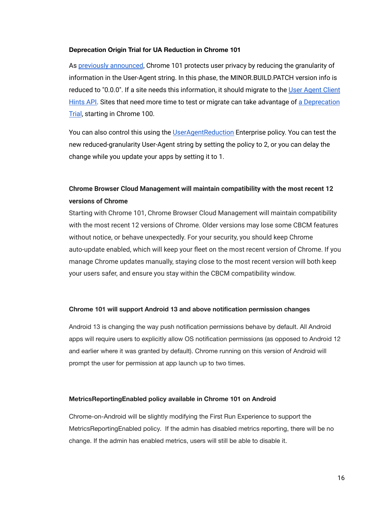#### **Deprecation Origin Trial for UA Reduction in Chrome 101**

As [previously announced](https://blog.chromium.org/2021/09/user-agent-reduction-origin-trial-and-dates.html), Chrome 101 protects user privacy by reducing the granularity of information in the User-Agent string. In this phase, the MINOR.BUILD.PATCH version info is reduced to "0.0.0". If a site needs this information, it should migrate to the [User Agent Client](https://web.dev/migrate-to-ua-ch/) [Hints API.](https://web.dev/migrate-to-ua-ch/) Sites that need more time to test or migrate can take advantage of [a Deprecation](https://groups.google.com/a/chromium.org/g/blink-dev/c/-2OW78CB1-A/m/N0lz8F0qAQAJ) [Trial](https://groups.google.com/a/chromium.org/g/blink-dev/c/-2OW78CB1-A/m/N0lz8F0qAQAJ), starting in Chrome 100.

You can also control this using the [UserAgentReduction](https://chromeenterprise.google/policies/#UserAgentReduction) Enterprise policy. You can test the new reduced-granularity User-Agent string by setting the policy to 2, or you can delay the change while you update your apps by setting it to 1.

# **Chrome Browser Cloud Management will maintain compatibility with the most recent 12 versions of Chrome**

Starting with Chrome 101, Chrome Browser Cloud Management will maintain compatibility with the most recent 12 versions of Chrome. Older versions may lose some CBCM features without notice, or behave unexpectedly. For your security, you should keep Chrome auto-update enabled, which will keep your fleet on the most recent version of Chrome. If you manage Chrome updates manually, staying close to the most recent version will both keep your users safer, and ensure you stay within the CBCM compatibility window.

#### **Chrome 101 will support Android 13 and above notification permission changes**

Android 13 is changing the way push notification permissions behave by default. All Android apps will require users to explicitly allow OS notification permissions (as opposed to Android 12 and earlier where it was granted by default). Chrome running on this version of Android will prompt the user for permission at app launch up to two times.

#### **MetricsReportingEnabled policy available in Chrome 101 on Android**

Chrome-on-Android will be slightly modifying the First Run Experience to support the MetricsReportingEnabled policy. If the admin has disabled metrics reporting, there will be no change. If the admin has enabled metrics, users will still be able to disable it.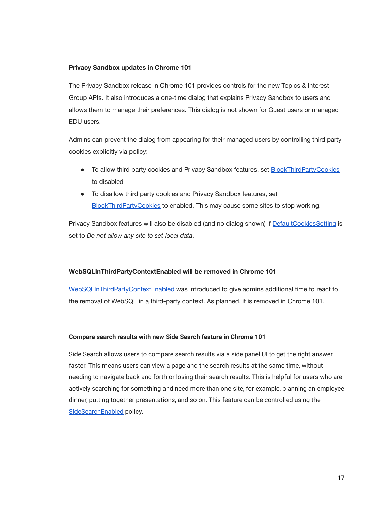#### **Privacy Sandbox updates in Chrome 101**

The Privacy Sandbox release in Chrome 101 provides controls for the new Topics & Interest Group APIs. It also introduces a one-time dialog that explains Privacy Sandbox to users and allows them to manage their preferences. This dialog is not shown for Guest users or managed EDU users.

Admins can prevent the dialog from appearing for their managed users by controlling third party cookies explicitly via policy:

- To allow third party cookies and Privacy Sandbox features, set [BlockThirdPartyCookies](https://chromeenterprise.google/policies/#BlockThirdPartyCookies) to disabled
- To disallow third party cookies and Privacy Sandbox features, set [BlockThirdPartyCookies](https://chromeenterprise.google/policies/#BlockThirdPartyCookies) to enabled. This may cause some sites to stop working.

Privacy Sandbox features will also be disabled (and no dialog shown) if [DefaultCookiesSetting](https://chromeenterprise.google/policies/#DefaultCookiesSetting) is set to *Do not allow any site to set local data*.

# **WebSQLInThirdPartyContextEnabled will be removed in Chrome 101**

[WebSQLInThirdPartyContextEnabled](https://chromeenterprise.google/policies/#WebSQLInThirdPartyContextEnabled) was introduced to give admins additional time to react to the removal of WebSQL in a third-party context. As planned, it is removed in Chrome 101.

# **Compare search results with new Side Search feature in Chrome 101**

Side Search allows users to compare search results via a side panel UI to get the right answer faster. This means users can view a page and the search results at the same time, without needing to navigate back and forth or losing their search results. This is helpful for users who are actively searching for something and need more than one site, for example, planning an employee dinner, putting together presentations, and so on. This feature can be controlled using the [SideSearchEnabled](https://chromeenterprise.google/policies/#SideSearchEnabled) policy.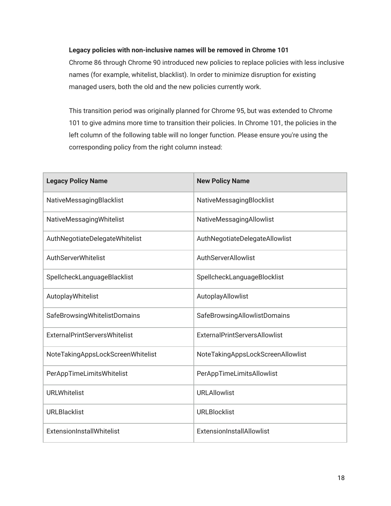# **Legacy policies with non-inclusive names will be removed in Chrome 101**

Chrome 86 through Chrome 90 introduced new policies to replace policies with less inclusive names (for example, whitelist, blacklist). In order to minimize disruption for existing managed users, both the old and the new policies currently work.

This transition period was originally planned for Chrome 95, but was extended to Chrome 101 to give admins more time to transition their policies. In Chrome 101, the policies in the left column of the following table will no longer function. Please ensure you're using the corresponding policy from the right column instead:

| <b>Legacy Policy Name</b>            | <b>New Policy Name</b>               |
|--------------------------------------|--------------------------------------|
| NativeMessagingBlacklist             | NativeMessagingBlocklist             |
| NativeMessagingWhitelist             | NativeMessagingAllowlist             |
| AuthNegotiateDelegateWhitelist       | AuthNegotiateDelegateAllowlist       |
| AuthServerWhitelist                  | AuthServerAllowlist                  |
| SpellcheckLanguageBlacklist          | SpellcheckLanguageBlocklist          |
| AutoplayWhitelist                    | AutoplayAllowlist                    |
| SafeBrowsingWhitelistDomains         | SafeBrowsingAllowlistDomains         |
| <b>ExternalPrintServersWhitelist</b> | <b>ExternalPrintServersAllowlist</b> |
| NoteTakingAppsLockScreenWhitelist    | NoteTakingAppsLockScreenAllowlist    |
| PerAppTimeLimitsWhitelist            | PerAppTimeLimitsAllowlist            |
| <b>URLWhitelist</b>                  | <b>URLAllowlist</b>                  |
| <b>URLBlacklist</b>                  | <b>URLBlocklist</b>                  |
| ExtensionInstallWhitelist            | ExtensionInstallAllowlist            |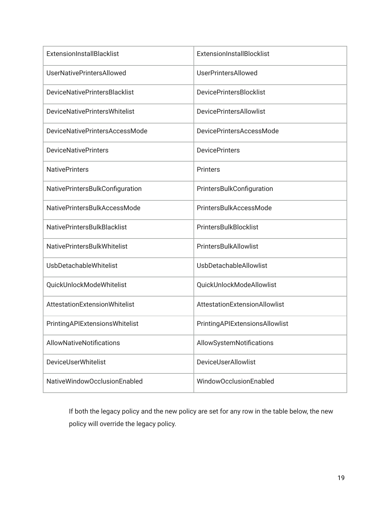| <b>ExtensionInstallBlacklist</b>     | <b>ExtensionInstallBlocklist</b> |
|--------------------------------------|----------------------------------|
| <b>UserNativePrintersAllowed</b>     | <b>UserPrintersAllowed</b>       |
| <b>DeviceNativePrintersBlacklist</b> | <b>DevicePrintersBlocklist</b>   |
| <b>DeviceNativePrintersWhitelist</b> | <b>DevicePrintersAllowlist</b>   |
| DeviceNativePrintersAccessMode       | DevicePrintersAccessMode         |
| <b>DeviceNativePrinters</b>          | <b>DevicePrinters</b>            |
| <b>NativePrinters</b>                | <b>Printers</b>                  |
| NativePrintersBulkConfiguration      | PrintersBulkConfiguration        |
| NativePrintersBulkAccessMode         | PrintersBulkAccessMode           |
| <b>NativePrintersBulkBlacklist</b>   | PrintersBulkBlocklist            |
| NativePrintersBulkWhitelist          | PrintersBulkAllowlist            |
| <b>UsbDetachableWhitelist</b>        | UsbDetachableAllowlist           |
| QuickUnlockModeWhitelist             | QuickUnlockModeAllowlist         |
| AttestationExtensionWhitelist        | AttestationExtensionAllowlist    |
| PrintingAPIExtensionsWhitelist       | PrintingAPIExtensionsAllowlist   |
| AllowNativeNotifications             | AllowSystemNotifications         |
| <b>DeviceUserWhitelist</b>           | DeviceUserAllowlist              |
| NativeWindowOcclusionEnabled         | WindowOcclusionEnabled           |

If both the legacy policy and the new policy are set for any row in the table below, the new policy will override the legacy policy.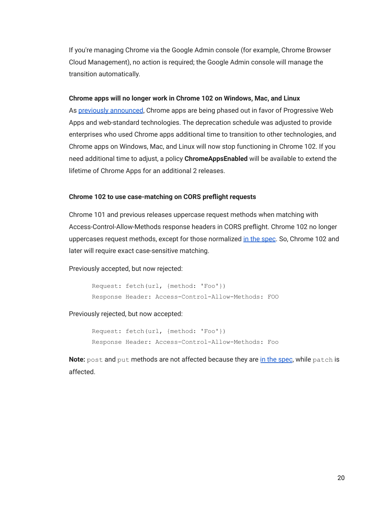If you're managing Chrome via the Google Admin console (for example, Chrome Browser Cloud Management), no action is required; the Google Admin console will manage the transition automatically.

#### **Chrome apps will no longer work in Chrome 102 on Windows, Mac, and Linux**

As [previously announced](https://blog.chromium.org/2020/08/changes-to-chrome-app-support-timeline.html), Chrome apps are being phased out in favor of Progressive Web Apps and web-standard technologies. The deprecation schedule was adjusted to provide enterprises who used Chrome apps additional time to transition to other technologies, and Chrome apps on Windows, Mac, and Linux will now stop functioning in Chrome 102. If you need additional time to adjust, a policy **ChromeAppsEnabled** will be available to extend the lifetime of Chrome Apps for an additional 2 releases.

# **Chrome 102 to use case-matching on CORS preflight requests**

Chrome 101 and previous releases uppercase request methods when matching with Access-Control-Allow-Methods response headers in CORS preflight. Chrome 102 no longer uppercases request methods, except for those normalized [in the spec.](https://fetch.spec.whatwg.org/#concept-method-normalize) So, Chrome 102 and later will require exact case-sensitive matching.

Previously accepted, but now rejected:

Request: fetch(url, {method: 'Foo'}) Response Header: Access-Control-Allow-Methods: FOO

Previously rejected, but now accepted:

Request: fetch(url, {method: 'Foo'}) Response Header: Access-Control-Allow-Methods: Foo

**Note:** post and put methods are not affected because they are [in the spec](https://fetch.spec.whatwg.org/#concept-method-normalize), while patch is affected.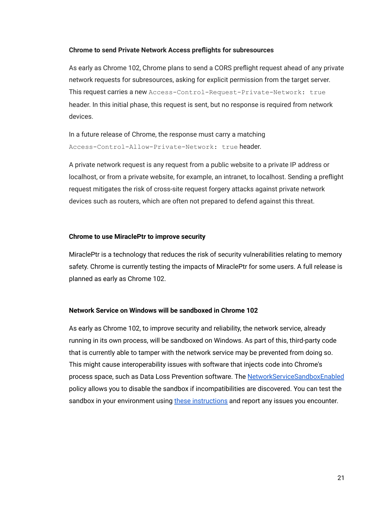#### **Chrome to send Private Network Access preflights for subresources**

As early as Chrome 102, Chrome plans to send a CORS preflight request ahead of any private network requests for subresources, asking for explicit permission from the target server. This request carries a new Access-Control-Request-Private-Network: true header. In this initial phase, this request is sent, but no response is required from network devices.

In a future release of Chrome, the response must carry a matching Access-Control-Allow-Private-Network: true header.

A private network request is any request from a public website to a private IP address or localhost, or from a private website, for example, an intranet, to localhost. Sending a preflight request mitigates the risk of cross-site request forgery attacks against private network devices such as routers, which are often not prepared to defend against this threat.

#### **Chrome to use MiraclePtr to improve security**

MiraclePtr is a technology that reduces the risk of security vulnerabilities relating to memory safety. Chrome is currently testing the impacts of MiraclePtr for some users. A full release is planned as early as Chrome 102.

# **Network Service on Windows will be sandboxed in Chrome 102**

As early as Chrome 102, to improve security and reliability, the network service, already running in its own process, will be sandboxed on Windows. As part of this, third-party code that is currently able to tamper with the network service may be prevented from doing so. This might cause interoperability issues with software that injects code into Chrome's process space, such as Data Loss Prevention software. The [NetworkServiceSandboxEnabled](https://chromeenterprise.google/policies/#NetworkServiceSandboxEnabled) policy allows you to disable the sandbox if incompatibilities are discovered. You can test the sandbox in your environment using [these instructions](https://docs.google.com/document/d/1Bk3Z8CUQucd8FP6ISKkT3Q9YYuP43574VIO_kyAISBU/view) and report any issues you encounter.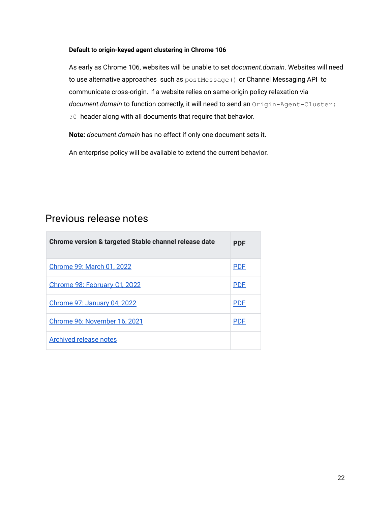#### **Default to origin-keyed agent clustering in Chrome 106**

As early as Chrome 106, websites will be unable to set *document.domain*. Websites will need to use alternative approaches such as postMessage() or Channel Messaging API to communicate cross-origin. If a website relies on same-origin policy relaxation via *document.domain* to function correctly, it will need to send an Origin-Agent-Cluster: ?0 header along with all documents that require that behavior.

**Note:** *document.domain* has no effect if only one document sets it.

An enterprise policy will be available to extend the current behavior.

# <span id="page-21-0"></span>Previous release notes

| Chrome version & targeted Stable channel release date | <b>PDF</b> |
|-------------------------------------------------------|------------|
| Chrome 99: March 01, 2022                             | <b>PDF</b> |
| Chrome 98: February 01, 2022                          | <b>PDF</b> |
| Chrome 97: January 04, 2022                           | <b>PDF</b> |
| Chrome 96: November 16, 2021                          | <b>PDF</b> |
| <b>Archived release notes</b>                         |            |